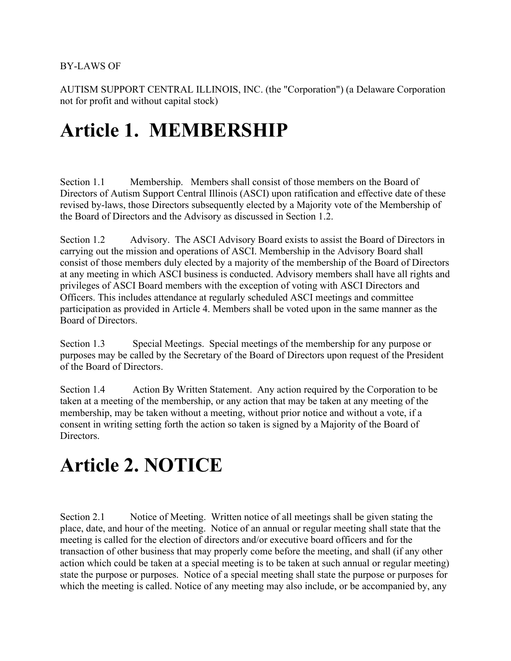AUTISM SUPPORT CENTRAL ILLINOIS, INC. (the "Corporation") (a Delaware Corporation not for profit and without capital stock)

#### **Article 1. MEMBERSHIP**

Section 1.1 Membership. Members shall consist of those members on the Board of Directors of Autism Support Central Illinois (ASCI) upon ratification and effective date of these revised by-laws, those Directors subsequently elected by a Majority vote of the Membership of the Board of Directors and the Advisory as discussed in Section 1.2.

Section 1.2 Advisory. The ASCI Advisory Board exists to assist the Board of Directors in carrying out the mission and operations of ASCI. Membership in the Advisory Board shall consist of those members duly elected by a majority of the membership of the Board of Directors at any meeting in which ASCI business is conducted. Advisory members shall have all rights and privileges of ASCI Board members with the exception of voting with ASCI Directors and Officers. This includes attendance at regularly scheduled ASCI meetings and committee participation as provided in Article 4. Members shall be voted upon in the same manner as the Board of Directors.

Section 1.3 Special Meetings. Special meetings of the membership for any purpose or purposes may be called by the Secretary of the Board of Directors upon request of the President of the Board of Directors.

Section 1.4 Action By Written Statement. Any action required by the Corporation to be taken at a meeting of the membership, or any action that may be taken at any meeting of the membership, may be taken without a meeting, without prior notice and without a vote, if a consent in writing setting forth the action so taken is signed by a Majority of the Board of Directors.

#### **Article 2. NOTICE**

Section 2.1 Notice of Meeting. Written notice of all meetings shall be given stating the place, date, and hour of the meeting. Notice of an annual or regular meeting shall state that the meeting is called for the election of directors and/or executive board officers and for the transaction of other business that may properly come before the meeting, and shall (if any other action which could be taken at a special meeting is to be taken at such annual or regular meeting) state the purpose or purposes. Notice of a special meeting shall state the purpose or purposes for which the meeting is called. Notice of any meeting may also include, or be accompanied by, any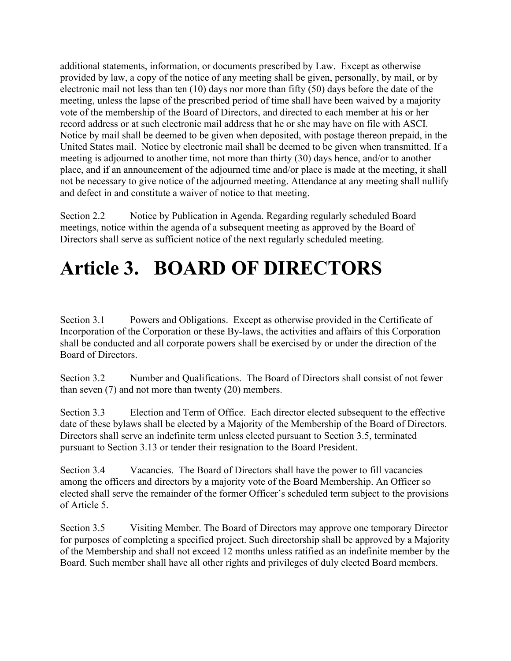additional statements, information, or documents prescribed by Law. Except as otherwise provided by law, a copy of the notice of any meeting shall be given, personally, by mail, or by electronic mail not less than ten (10) days nor more than fifty (50) days before the date of the meeting, unless the lapse of the prescribed period of time shall have been waived by a majority vote of the membership of the Board of Directors, and directed to each member at his or her record address or at such electronic mail address that he or she may have on file with ASCI. Notice by mail shall be deemed to be given when deposited, with postage thereon prepaid, in the United States mail. Notice by electronic mail shall be deemed to be given when transmitted. If a meeting is adjourned to another time, not more than thirty (30) days hence, and/or to another place, and if an announcement of the adjourned time and/or place is made at the meeting, it shall not be necessary to give notice of the adjourned meeting. Attendance at any meeting shall nullify and defect in and constitute a waiver of notice to that meeting.

Section 2.2 Notice by Publication in Agenda. Regarding regularly scheduled Board meetings, notice within the agenda of a subsequent meeting as approved by the Board of Directors shall serve as sufficient notice of the next regularly scheduled meeting.

### **Article 3. BOARD OF DIRECTORS**

Section 3.1 Powers and Obligations. Except as otherwise provided in the Certificate of Incorporation of the Corporation or these By-laws, the activities and affairs of this Corporation shall be conducted and all corporate powers shall be exercised by or under the direction of the Board of Directors.

Section 3.2 Number and Qualifications. The Board of Directors shall consist of not fewer than seven (7) and not more than twenty (20) members.

Section 3.3 Election and Term of Office. Each director elected subsequent to the effective date of these bylaws shall be elected by a Majority of the Membership of the Board of Directors. Directors shall serve an indefinite term unless elected pursuant to Section 3.5, terminated pursuant to Section 3.13 or tender their resignation to the Board President.

Section 3.4 Vacancies. The Board of Directors shall have the power to fill vacancies among the officers and directors by a majority vote of the Board Membership. An Officer so elected shall serve the remainder of the former Officer's scheduled term subject to the provisions of Article 5.

Section 3.5 Visiting Member. The Board of Directors may approve one temporary Director for purposes of completing a specified project. Such directorship shall be approved by a Majority of the Membership and shall not exceed 12 months unless ratified as an indefinite member by the Board. Such member shall have all other rights and privileges of duly elected Board members.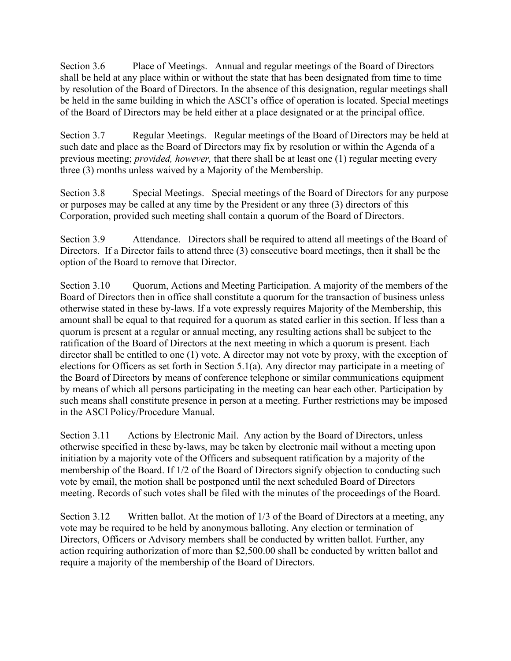Section 3.6 Place of Meetings. Annual and regular meetings of the Board of Directors shall be held at any place within or without the state that has been designated from time to time by resolution of the Board of Directors. In the absence of this designation, regular meetings shall be held in the same building in which the ASCI's office of operation is located. Special meetings of the Board of Directors may be held either at a place designated or at the principal office.

Section 3.7 Regular Meetings. Regular meetings of the Board of Directors may be held at such date and place as the Board of Directors may fix by resolution or within the Agenda of a previous meeting; *provided, however,* that there shall be at least one (1) regular meeting every three (3) months unless waived by a Majority of the Membership.

Section 3.8 Special Meetings. Special meetings of the Board of Directors for any purpose or purposes may be called at any time by the President or any three (3) directors of this Corporation, provided such meeting shall contain a quorum of the Board of Directors.

Section 3.9 Attendance. Directors shall be required to attend all meetings of the Board of Directors. If a Director fails to attend three (3) consecutive board meetings, then it shall be the option of the Board to remove that Director.

Section 3.10 Quorum, Actions and Meeting Participation. A majority of the members of the Board of Directors then in office shall constitute a quorum for the transaction of business unless otherwise stated in these by-laws. If a vote expressly requires Majority of the Membership, this amount shall be equal to that required for a quorum as stated earlier in this section. If less than a quorum is present at a regular or annual meeting, any resulting actions shall be subject to the ratification of the Board of Directors at the next meeting in which a quorum is present. Each director shall be entitled to one (1) vote. A director may not vote by proxy, with the exception of elections for Officers as set forth in Section 5.1(a). Any director may participate in a meeting of the Board of Directors by means of conference telephone or similar communications equipment by means of which all persons participating in the meeting can hear each other. Participation by such means shall constitute presence in person at a meeting. Further restrictions may be imposed in the ASCI Policy/Procedure Manual.

Section 3.11 Actions by Electronic Mail. Any action by the Board of Directors, unless otherwise specified in these by-laws, may be taken by electronic mail without a meeting upon initiation by a majority vote of the Officers and subsequent ratification by a majority of the membership of the Board. If 1/2 of the Board of Directors signify objection to conducting such vote by email, the motion shall be postponed until the next scheduled Board of Directors meeting. Records of such votes shall be filed with the minutes of the proceedings of the Board.

Section 3.12 Written ballot. At the motion of 1/3 of the Board of Directors at a meeting, any vote may be required to be held by anonymous balloting. Any election or termination of Directors, Officers or Advisory members shall be conducted by written ballot. Further, any action requiring authorization of more than \$2,500.00 shall be conducted by written ballot and require a majority of the membership of the Board of Directors.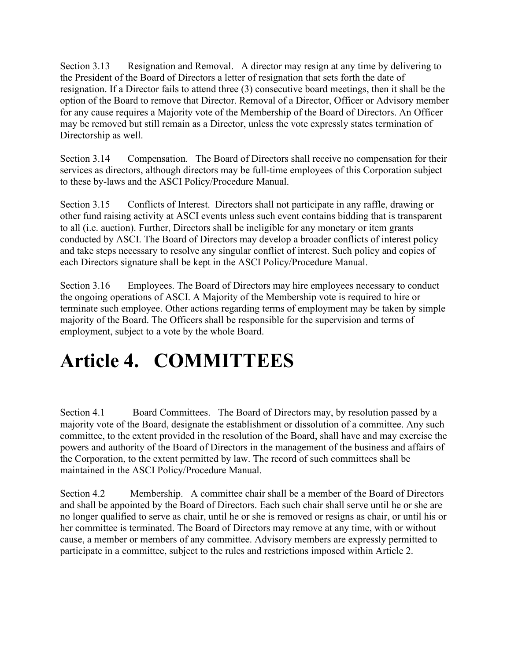Section 3.13 Resignation and Removal. A director may resign at any time by delivering to the President of the Board of Directors a letter of resignation that sets forth the date of resignation. If a Director fails to attend three (3) consecutive board meetings, then it shall be the option of the Board to remove that Director. Removal of a Director, Officer or Advisory member for any cause requires a Majority vote of the Membership of the Board of Directors. An Officer may be removed but still remain as a Director, unless the vote expressly states termination of Directorship as well.

Section 3.14 Compensation. The Board of Directors shall receive no compensation for their services as directors, although directors may be full-time employees of this Corporation subject to these by-laws and the ASCI Policy/Procedure Manual.

Section 3.15 Conflicts of Interest. Directors shall not participate in any raffle, drawing or other fund raising activity at ASCI events unless such event contains bidding that is transparent to all (i.e. auction). Further, Directors shall be ineligible for any monetary or item grants conducted by ASCI. The Board of Directors may develop a broader conflicts of interest policy and take steps necessary to resolve any singular conflict of interest. Such policy and copies of each Directors signature shall be kept in the ASCI Policy/Procedure Manual.

Section 3.16 Employees. The Board of Directors may hire employees necessary to conduct the ongoing operations of ASCI. A Majority of the Membership vote is required to hire or terminate such employee. Other actions regarding terms of employment may be taken by simple majority of the Board. The Officers shall be responsible for the supervision and terms of employment, subject to a vote by the whole Board.

### **Article 4. COMMITTEES**

Section 4.1 Board Committees. The Board of Directors may, by resolution passed by a majority vote of the Board, designate the establishment or dissolution of a committee. Any such committee, to the extent provided in the resolution of the Board, shall have and may exercise the powers and authority of the Board of Directors in the management of the business and affairs of the Corporation, to the extent permitted by law. The record of such committees shall be maintained in the ASCI Policy/Procedure Manual.

Section 4.2 Membership. A committee chair shall be a member of the Board of Directors and shall be appointed by the Board of Directors. Each such chair shall serve until he or she are no longer qualified to serve as chair, until he or she is removed or resigns as chair, or until his or her committee is terminated. The Board of Directors may remove at any time, with or without cause, a member or members of any committee. Advisory members are expressly permitted to participate in a committee, subject to the rules and restrictions imposed within Article 2.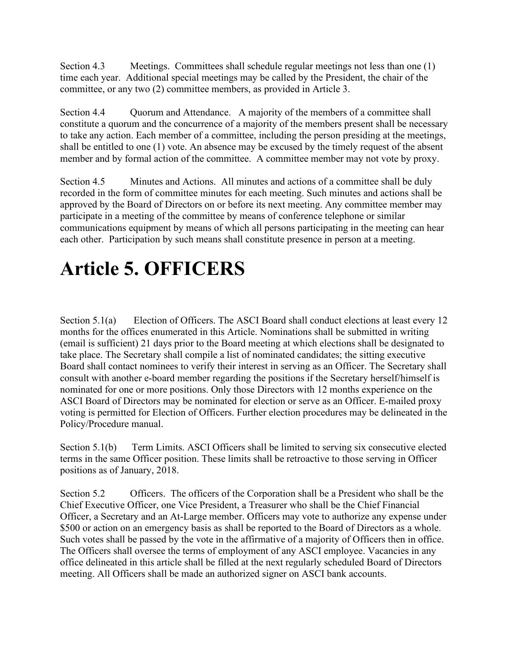Section 4.3 Meetings. Committees shall schedule regular meetings not less than one (1) time each year. Additional special meetings may be called by the President, the chair of the committee, or any two (2) committee members, as provided in Article 3.

Section 4.4 Quorum and Attendance. A majority of the members of a committee shall constitute a quorum and the concurrence of a majority of the members present shall be necessary to take any action. Each member of a committee, including the person presiding at the meetings, shall be entitled to one (1) vote. An absence may be excused by the timely request of the absent member and by formal action of the committee. A committee member may not vote by proxy.

Section 4.5 Minutes and Actions. All minutes and actions of a committee shall be duly recorded in the form of committee minutes for each meeting. Such minutes and actions shall be approved by the Board of Directors on or before its next meeting. Any committee member may participate in a meeting of the committee by means of conference telephone or similar communications equipment by means of which all persons participating in the meeting can hear each other. Participation by such means shall constitute presence in person at a meeting.

## **Article 5. OFFICERS**

Section 5.1(a) Election of Officers. The ASCI Board shall conduct elections at least every 12 months for the offices enumerated in this Article. Nominations shall be submitted in writing (email is sufficient) 21 days prior to the Board meeting at which elections shall be designated to take place. The Secretary shall compile a list of nominated candidates; the sitting executive Board shall contact nominees to verify their interest in serving as an Officer. The Secretary shall consult with another e-board member regarding the positions if the Secretary herself/himself is nominated for one or more positions. Only those Directors with 12 months experience on the ASCI Board of Directors may be nominated for election or serve as an Officer. E-mailed proxy voting is permitted for Election of Officers. Further election procedures may be delineated in the Policy/Procedure manual.

Section 5.1(b) Term Limits. ASCI Officers shall be limited to serving six consecutive elected terms in the same Officer position. These limits shall be retroactive to those serving in Officer positions as of January, 2018.

Section 5.2 Officers. The officers of the Corporation shall be a President who shall be the Chief Executive Officer, one Vice President, a Treasurer who shall be the Chief Financial Officer, a Secretary and an At-Large member. Officers may vote to authorize any expense under \$500 or action on an emergency basis as shall be reported to the Board of Directors as a whole. Such votes shall be passed by the vote in the affirmative of a majority of Officers then in office. The Officers shall oversee the terms of employment of any ASCI employee. Vacancies in any office delineated in this article shall be filled at the next regularly scheduled Board of Directors meeting. All Officers shall be made an authorized signer on ASCI bank accounts.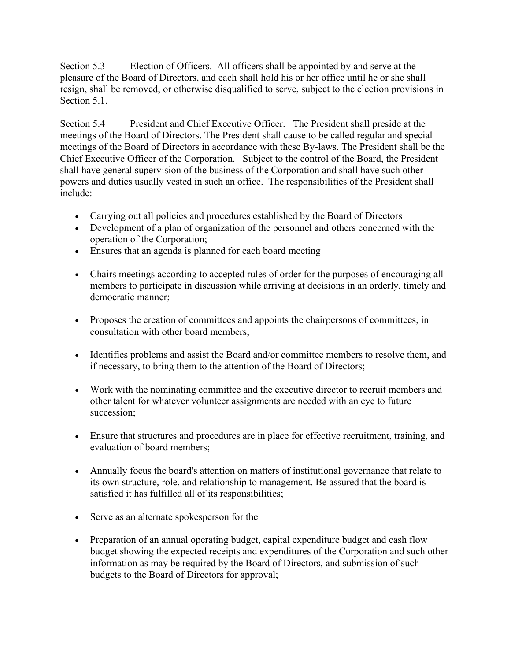Section 5.3 Election of Officers. All officers shall be appointed by and serve at the pleasure of the Board of Directors, and each shall hold his or her office until he or she shall resign, shall be removed, or otherwise disqualified to serve, subject to the election provisions in Section 5.1.

Section 5.4 President and Chief Executive Officer. The President shall preside at the meetings of the Board of Directors. The President shall cause to be called regular and special meetings of the Board of Directors in accordance with these By-laws. The President shall be the Chief Executive Officer of the Corporation. Subject to the control of the Board, the President shall have general supervision of the business of the Corporation and shall have such other powers and duties usually vested in such an office. The responsibilities of the President shall include:

- Carrying out all policies and procedures established by the Board of Directors
- Development of a plan of organization of the personnel and others concerned with the operation of the Corporation;
- Ensures that an agenda is planned for each board meeting
- Chairs meetings according to accepted rules of order for the purposes of encouraging all members to participate in discussion while arriving at decisions in an orderly, timely and democratic manner;
- Proposes the creation of committees and appoints the chairpersons of committees, in consultation with other board members;
- Identifies problems and assist the Board and/or committee members to resolve them, and if necessary, to bring them to the attention of the Board of Directors;
- Work with the nominating committee and the executive director to recruit members and other talent for whatever volunteer assignments are needed with an eye to future succession;
- Ensure that structures and procedures are in place for effective recruitment, training, and evaluation of board members;
- Annually focus the board's attention on matters of institutional governance that relate to its own structure, role, and relationship to management. Be assured that the board is satisfied it has fulfilled all of its responsibilities;
- Serve as an alternate spokesperson for the
- Preparation of an annual operating budget, capital expenditure budget and cash flow budget showing the expected receipts and expenditures of the Corporation and such other information as may be required by the Board of Directors, and submission of such budgets to the Board of Directors for approval;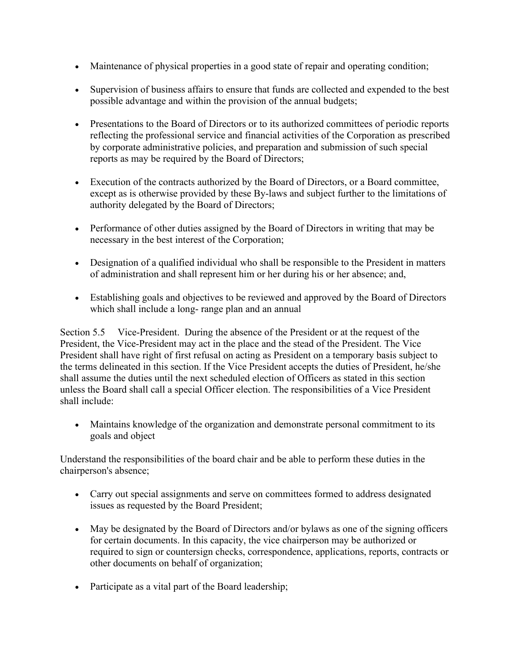- Maintenance of physical properties in a good state of repair and operating condition;
- Supervision of business affairs to ensure that funds are collected and expended to the best possible advantage and within the provision of the annual budgets;
- Presentations to the Board of Directors or to its authorized committees of periodic reports reflecting the professional service and financial activities of the Corporation as prescribed by corporate administrative policies, and preparation and submission of such special reports as may be required by the Board of Directors;
- Execution of the contracts authorized by the Board of Directors, or a Board committee, except as is otherwise provided by these By-laws and subject further to the limitations of authority delegated by the Board of Directors;
- Performance of other duties assigned by the Board of Directors in writing that may be necessary in the best interest of the Corporation;
- Designation of a qualified individual who shall be responsible to the President in matters of administration and shall represent him or her during his or her absence; and,
- Establishing goals and objectives to be reviewed and approved by the Board of Directors which shall include a long- range plan and an annual

Section 5.5 Vice-President. During the absence of the President or at the request of the President, the Vice-President may act in the place and the stead of the President. The Vice President shall have right of first refusal on acting as President on a temporary basis subject to the terms delineated in this section. If the Vice President accepts the duties of President, he/she shall assume the duties until the next scheduled election of Officers as stated in this section unless the Board shall call a special Officer election. The responsibilities of a Vice President shall include:

• Maintains knowledge of the organization and demonstrate personal commitment to its goals and object

Understand the responsibilities of the board chair and be able to perform these duties in the chairperson's absence;

- Carry out special assignments and serve on committees formed to address designated issues as requested by the Board President;
- May be designated by the Board of Directors and/or bylaws as one of the signing officers for certain documents. In this capacity, the vice chairperson may be authorized or required to sign or countersign checks, correspondence, applications, reports, contracts or other documents on behalf of organization;
- Participate as a vital part of the Board leadership;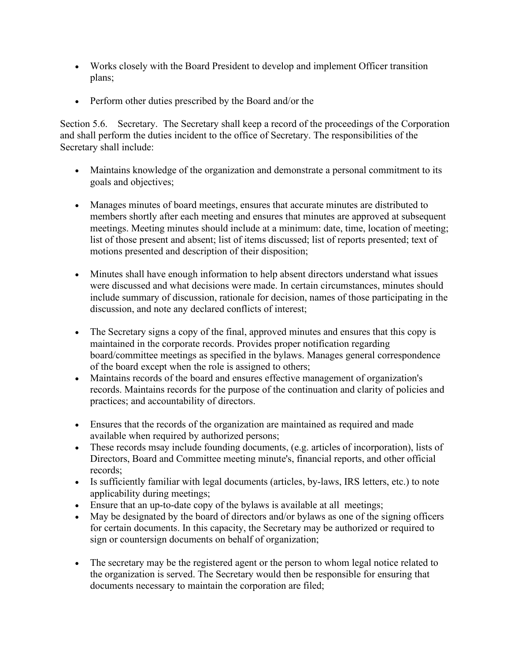- Works closely with the Board President to develop and implement Officer transition plans;
- Perform other duties prescribed by the Board and/or the

Section 5.6. Secretary. The Secretary shall keep a record of the proceedings of the Corporation and shall perform the duties incident to the office of Secretary. The responsibilities of the Secretary shall include:

- Maintains knowledge of the organization and demonstrate a personal commitment to its goals and objectives;
- Manages minutes of board meetings, ensures that accurate minutes are distributed to members shortly after each meeting and ensures that minutes are approved at subsequent meetings. Meeting minutes should include at a minimum: date, time, location of meeting; list of those present and absent; list of items discussed; list of reports presented; text of motions presented and description of their disposition;
- Minutes shall have enough information to help absent directors understand what issues were discussed and what decisions were made. In certain circumstances, minutes should include summary of discussion, rationale for decision, names of those participating in the discussion, and note any declared conflicts of interest;
- The Secretary signs a copy of the final, approved minutes and ensures that this copy is maintained in the corporate records. Provides proper notification regarding board/committee meetings as specified in the bylaws. Manages general correspondence of the board except when the role is assigned to others;
- Maintains records of the board and ensures effective management of organization's records. Maintains records for the purpose of the continuation and clarity of policies and practices; and accountability of directors.
- Ensures that the records of the organization are maintained as required and made available when required by authorized persons;
- These records msay include founding documents, (e.g. articles of incorporation), lists of Directors, Board and Committee meeting minute's, financial reports, and other official records;
- Is sufficiently familiar with legal documents (articles, by-laws, IRS letters, etc.) to note applicability during meetings;
- Ensure that an up-to-date copy of the bylaws is available at all meetings;
- May be designated by the board of directors and/or bylaws as one of the signing officers for certain documents. In this capacity, the Secretary may be authorized or required to sign or countersign documents on behalf of organization;
- The secretary may be the registered agent or the person to whom legal notice related to the organization is served. The Secretary would then be responsible for ensuring that documents necessary to maintain the corporation are filed;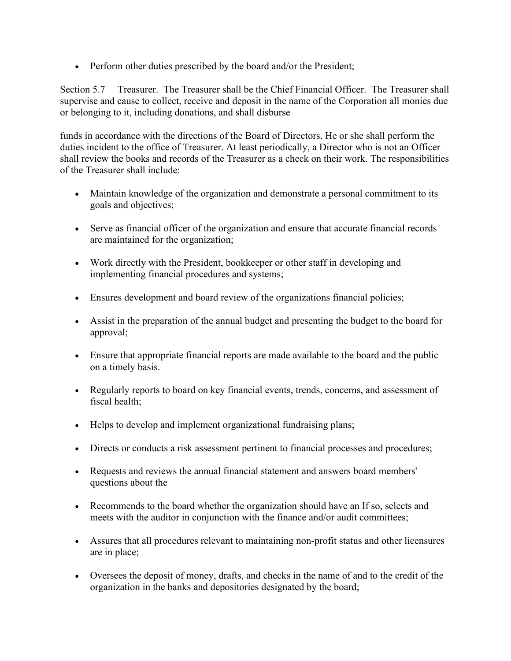• Perform other duties prescribed by the board and/or the President;

Section 5.7 Treasurer. The Treasurer shall be the Chief Financial Officer. The Treasurer shall supervise and cause to collect, receive and deposit in the name of the Corporation all monies due or belonging to it, including donations, and shall disburse

funds in accordance with the directions of the Board of Directors. He or she shall perform the duties incident to the office of Treasurer. At least periodically, a Director who is not an Officer shall review the books and records of the Treasurer as a check on their work. The responsibilities of the Treasurer shall include:

- Maintain knowledge of the organization and demonstrate a personal commitment to its goals and objectives;
- Serve as financial officer of the organization and ensure that accurate financial records are maintained for the organization;
- Work directly with the President, bookkeeper or other staff in developing and implementing financial procedures and systems;
- Ensures development and board review of the organizations financial policies;
- Assist in the preparation of the annual budget and presenting the budget to the board for approval;
- Ensure that appropriate financial reports are made available to the board and the public on a timely basis.
- Regularly reports to board on key financial events, trends, concerns, and assessment of fiscal health;
- Helps to develop and implement organizational fundraising plans;
- Directs or conducts a risk assessment pertinent to financial processes and procedures;
- Requests and reviews the annual financial statement and answers board members' questions about the
- Recommends to the board whether the organization should have an If so, selects and meets with the auditor in conjunction with the finance and/or audit committees;
- Assures that all procedures relevant to maintaining non-profit status and other licensures are in place;
- Oversees the deposit of money, drafts, and checks in the name of and to the credit of the organization in the banks and depositories designated by the board;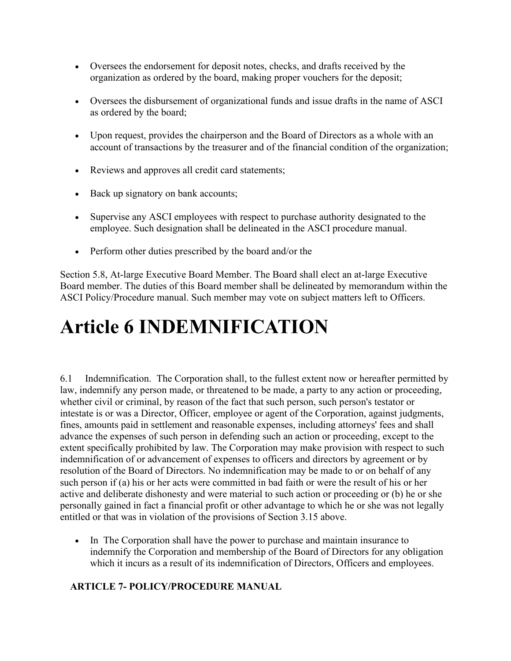- Oversees the endorsement for deposit notes, checks, and drafts received by the organization as ordered by the board, making proper vouchers for the deposit;
- Oversees the disbursement of organizational funds and issue drafts in the name of ASCI as ordered by the board;
- Upon request, provides the chairperson and the Board of Directors as a whole with an account of transactions by the treasurer and of the financial condition of the organization;
- Reviews and approves all credit card statements;
- Back up signatory on bank accounts;
- Supervise any ASCI employees with respect to purchase authority designated to the employee. Such designation shall be delineated in the ASCI procedure manual.
- Perform other duties prescribed by the board and/or the

Section 5.8, At-large Executive Board Member. The Board shall elect an at-large Executive Board member. The duties of this Board member shall be delineated by memorandum within the ASCI Policy/Procedure manual. Such member may vote on subject matters left to Officers.

## **Article 6 INDEMNIFICATION**

6.1 Indemnification. The Corporation shall, to the fullest extent now or hereafter permitted by law, indemnify any person made, or threatened to be made, a party to any action or proceeding, whether civil or criminal, by reason of the fact that such person, such person's testator or intestate is or was a Director, Officer, employee or agent of the Corporation, against judgments, fines, amounts paid in settlement and reasonable expenses, including attorneys' fees and shall advance the expenses of such person in defending such an action or proceeding, except to the extent specifically prohibited by law. The Corporation may make provision with respect to such indemnification of or advancement of expenses to officers and directors by agreement or by resolution of the Board of Directors. No indemnification may be made to or on behalf of any such person if (a) his or her acts were committed in bad faith or were the result of his or her active and deliberate dishonesty and were material to such action or proceeding or (b) he or she personally gained in fact a financial profit or other advantage to which he or she was not legally entitled or that was in violation of the provisions of Section 3.15 above.

• In The Corporation shall have the power to purchase and maintain insurance to indemnify the Corporation and membership of the Board of Directors for any obligation which it incurs as a result of its indemnification of Directors, Officers and employees.

#### **ARTICLE 7- POLICY/PROCEDURE MANUAL**